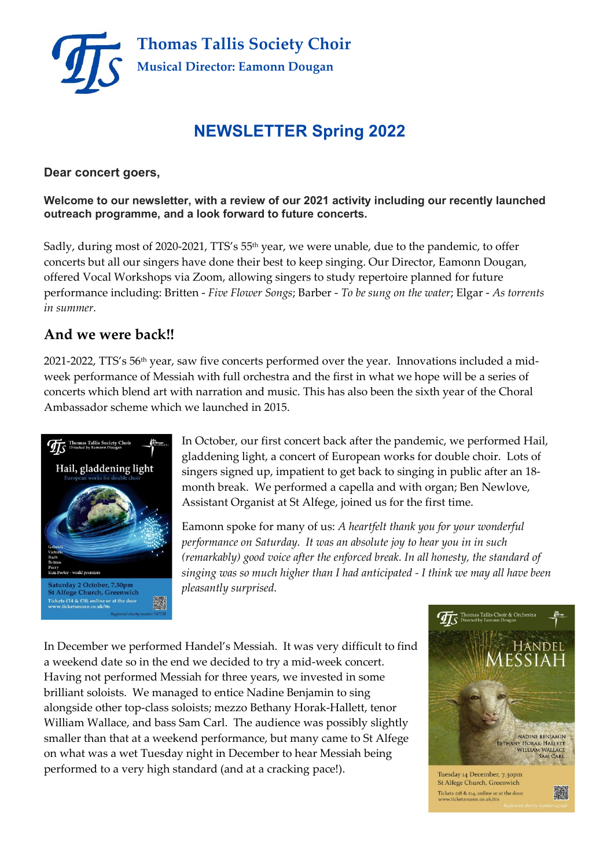

## **NEWSLETTER Spring 2022**

#### **Dear concert goers,**

**Welcome to our newsletter, with a review of our 2021 activity including our recently launched outreach programme, and a look forward to future concerts.**

Sadly, during most of 2020-2021, TTS's 55<sup>th</sup> year, we were unable, due to the pandemic, to offer concerts but all our singers have done their best to keep singing. Our Director, Eamonn Dougan, offered Vocal Workshops via Zoom, allowing singers to study repertoire planned for future performance including: Britten - *Five Flower Songs*; Barber - *To be sung on the water*; Elgar - *As torrents in summer.*

## **And we were back!!**

2021-2022, TTS's 56th year, saw five concerts performed over the year. Innovations included a midweek performance of Messiah with full orchestra and the first in what we hope will be a series of concerts which blend art with narration and music. This has also been the sixth year of the Choral Ambassador scheme which we launched in 2015.



In October, our first concert back after the pandemic, we performed Hail, gladdening light, a concert of European works for double choir. Lots of singers signed up, impatient to get back to singing in public after an 18 month break. We performed a capella and with organ; Ben Newlove, Assistant Organist at St Alfege, joined us for the first time.

Eamonn spoke for many of us: *A heartfelt thank you for your wonderful performance on Saturday. It was an absolute joy to hear you in in such (remarkably) good voice after the enforced break. In all honesty, the standard of singing was so much higher than I had anticipated - I think we may all have been pleasantly surprised.*

In December we performed Handel's Messiah. It was very difficult to find a weekend date so in the end we decided to try a mid-week concert. Having not performed Messiah for three years, we invested in some brilliant soloists. We managed to entice Nadine Benjamin to sing alongside other top-class soloists; mezzo Bethany Horak-Hallett, tenor William Wallace, and bass Sam Carl. The audience was possibly slightly smaller than that at a weekend performance, but many came to St Alfege on what was a wet Tuesday night in December to hear Messiah being performed to a very high standard (and at a cracking pace!).

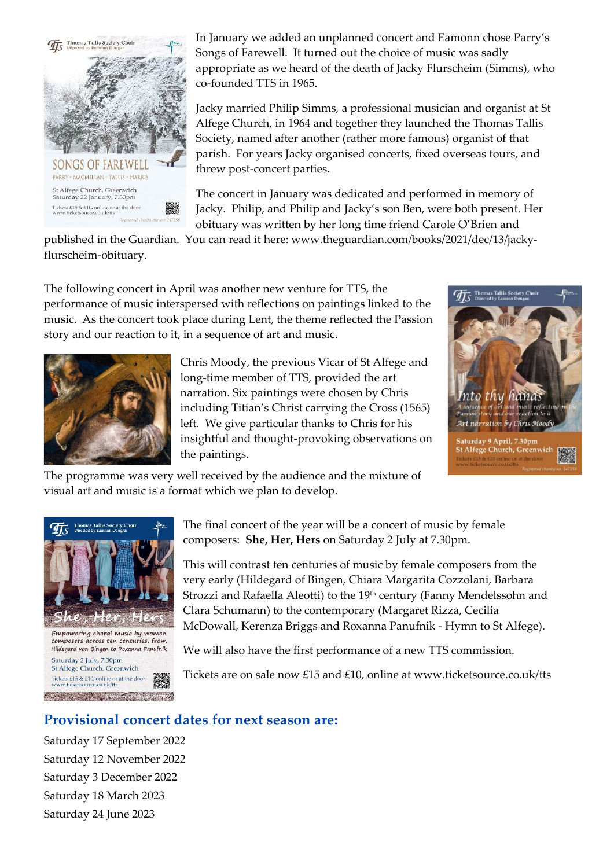

In January we added an unplanned concert and Eamonn chose Parry's Songs of Farewell. It turned out the choice of music was sadly appropriate as we heard of the death of Jacky Flurscheim (Simms), who co-founded TTS in 1965.

Jacky married Philip Simms, a professional musician and organist at St Alfege Church, in 1964 and together they launched the Thomas Tallis Society, named after another (rather more famous) organist of that parish. For years Jacky organised concerts, fixed overseas tours, and threw post-concert parties.

The concert in January was dedicated and performed in memory of Jacky. Philip, and Philip and Jacky's son Ben, were both present. Her obituary was written by her long time friend Carole O'Brien and

published in the Guardian. You can read it here: www.theguardian.com/books/2021/dec/13/jackyflurscheim-obituary.

The following concert in April was another new venture for TTS, the performance of music interspersed with reflections on paintings linked to the music. As the concert took place during Lent, the theme reflected the Passion story and our reaction to it, in a sequence of art and music.



Chris Moody, the previous Vicar of St Alfege and long-time member of TTS, provided the art narration. Six paintings were chosen by Chris including Titian's Christ carrying the Cross (1565) left. We give particular thanks to Chris for his insightful and thought-provoking observations on the paintings.



The programme was very well received by the audience and the mixture of visual art and music is a format which we plan to develop.



The final concert of the year will be a concert of music by female composers: **She, Her, Hers** on Saturday 2 July at 7.30pm.

This will contrast ten centuries of music by female composers from the very early (Hildegard of Bingen, Chiara Margarita Cozzolani, Barbara Strozzi and Rafaella Aleotti) to the 19<sup>th</sup> century (Fanny Mendelssohn and Clara Schumann) to the contemporary (Margaret Rizza, Cecilia McDowall, Kerenza Briggs and Roxanna Panufnik - Hymn to St Alfege).

We will also have the first performance of a new TTS commission.

Tickets are on sale now £15 and £10, online at www.ticketsource.co.uk/tts

## **Provisional concert dates for next season are:**

Saturday 17 September 2022 Saturday 12 November 2022 Saturday 3 December 2022 Saturday 18 March 2023 Saturday 24 June 2023